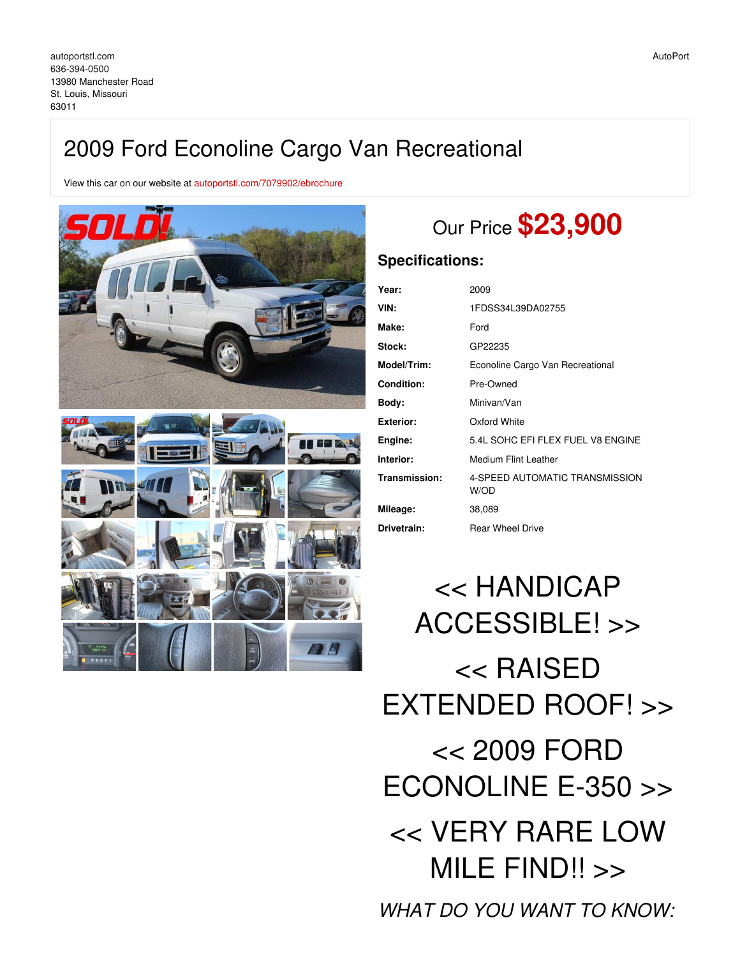## 2009 Ford Econoline Cargo Van Recreational

View this car on our website at [autoportstl.com/7079902/ebrochure](https://autoportstl.com/vehicle/7079902/2009-ford-econoline-cargo-van-recreational-st-louis-missouri-63011/7079902/ebrochure)



# Our Price **\$23,900**

## **Specifications:**

| Year:              | 2009                                   |
|--------------------|----------------------------------------|
| VIN:               | 1FDSS34L39DA02755                      |
| Make:              | Ford                                   |
| Stock:             | GP22235                                |
| <b>Model/Trim:</b> | Econoline Cargo Van Recreational       |
| <b>Condition:</b>  | Pre-Owned                              |
| Body:              | Minivan/Van                            |
| Exterior:          | Oxford White                           |
| Engine:            | 5.4L SOHC EFI FLEX FUEL V8 ENGINE      |
| Interior:          | Medium Flint Leather                   |
| Transmission:      | 4-SPEED AUTOMATIC TRANSMISSION<br>W/OD |
| Mileage:           | 38,089                                 |
| Drivetrain:        | <b>Rear Wheel Drive</b>                |

<< HANDICAP ACCESSIBLE! >> << RAISED EXTENDED ROOF! >> << 2009 FORD ECONOLINE E-350 >> << VERY RARE LOW MILE FIND!! >> *WHAT DO YOU WANT TO KNOW:*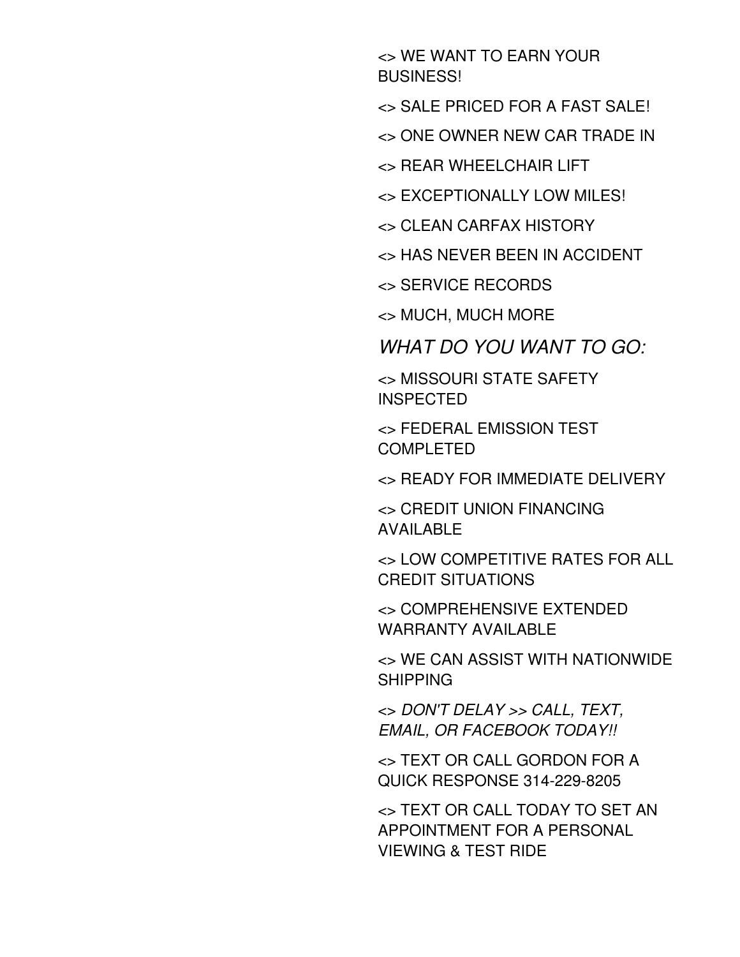<> WE WANT TO EARN YOUR BUSINESS!

<> SALE PRICED FOR A FAST SALE!

<> ONE OWNER NEW CAR TRADE IN

<> REAR WHEELCHAIR LIFT

<> EXCEPTIONALLY LOW MILES!

<> CLEAN CARFAX HISTORY

<> HAS NEVER BEEN IN ACCIDENT

<> SERVICE RECORDS

<> MUCH, MUCH MORE

*WHAT DO YOU WANT TO GO:*

<> MISSOURI STATE SAFETY **INSPECTED** 

<> FEDERAL EMISSION TEST COMPLETED

<> READY FOR IMMEDIATE DELIVERY

<> CREDIT UNION FINANCING AVAILABLE

<> LOW COMPETITIVE RATES FOR ALL CREDIT SITUATIONS

<> COMPREHENSIVE EXTENDED WARRANTY AVAILABLE

<> WE CAN ASSIST WITH NATIONWIDE SHIPPING

<> *DON'T DELAY >> CALL, TEXT, EMAIL, OR FACEBOOK TODAY!!*

<> TEXT OR CALL GORDON FOR A QUICK RESPONSE 314-229-8205

<> TEXT OR CALL TODAY TO SET AN APPOINTMENT FOR A PERSONAL VIEWING & TEST RIDE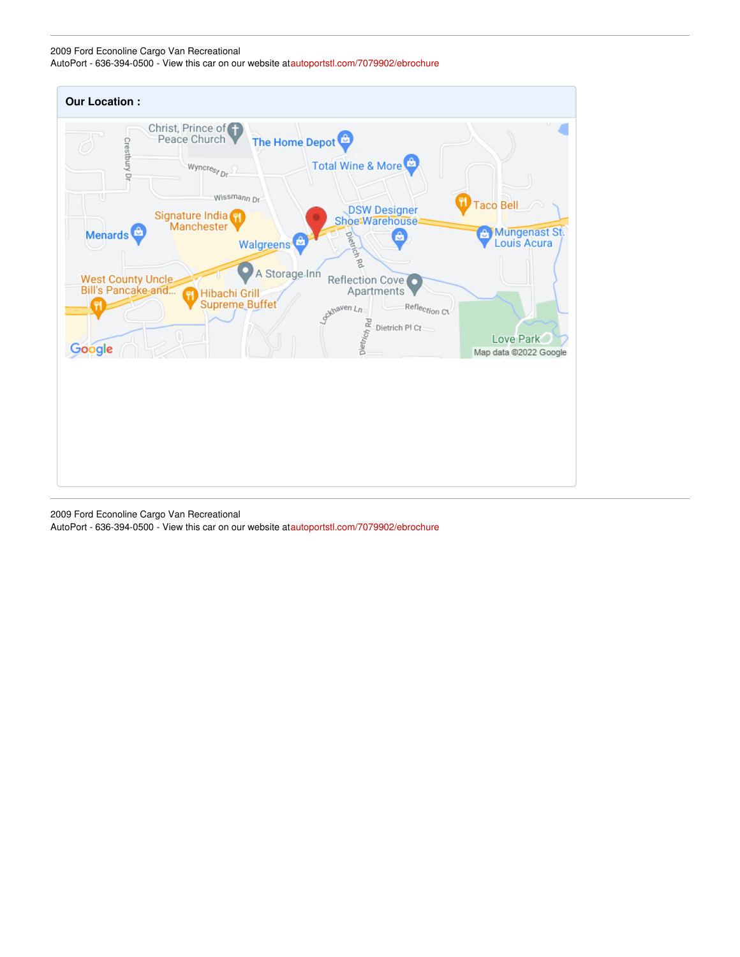#### 2009 Ford Econoline Cargo Van Recreational

AutoPort - 636-394-0500 - View this car on our website a[tautoportstl.com/7079902/ebrochure](https://autoportstl.com/vehicle/7079902/2009-ford-econoline-cargo-van-recreational-st-louis-missouri-63011/7079902/ebrochure)



2009 Ford Econoline Cargo Van Recreational

AutoPort - 636-394-0500 - View this car on our website a[tautoportstl.com/7079902/ebrochure](https://autoportstl.com/vehicle/7079902/2009-ford-econoline-cargo-van-recreational-st-louis-missouri-63011/7079902/ebrochure)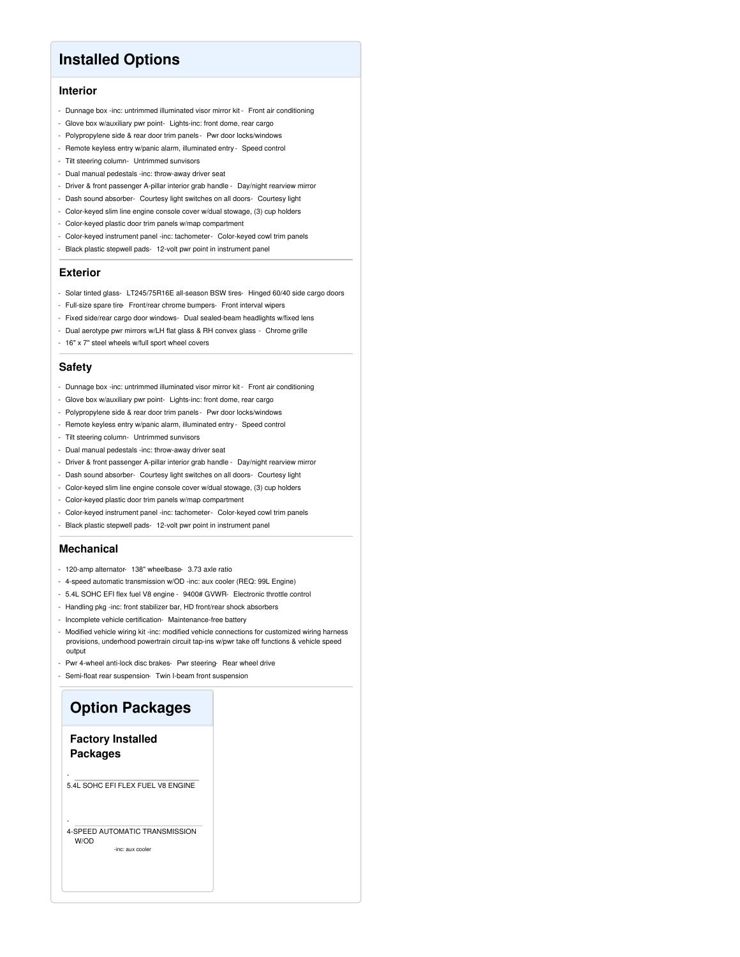## **Installed Options**

#### **Interior**

- Dunnage box -inc: untrimmed illuminated visor mirror kit Front air conditioning
- Glove box w/auxiliary pwr point- Lights-inc: front dome, rear cargo
- Polypropylene side & rear door trim panels Pwr door locks/windows
- Remote keyless entry w/panic alarm, illuminated entry Speed control
- Tilt steering column- Untrimmed sunvisors
- Dual manual pedestals -inc: throw-away driver seat
- Driver & front passenger A-pillar interior grab handle Day/night rearview mirror
- Dash sound absorber- Courtesy light switches on all doors- Courtesy light
- Color-keyed slim line engine console cover w/dual stowage, (3) cup holders
- Color-keyed plastic door trim panels w/map compartment
- Color-keyed instrument panel -inc: tachometer- Color-keyed cowl trim panels
- Black plastic stepwell pads- 12-volt pwr point in instrument panel

#### **Exterior**

- Solar tinted glass- LT245/75R16E all-season BSW tires- Hinged 60/40 side cargo doors
- Full-size spare tire- Front/rear chrome bumpers- Front interval wipers
- Fixed side/rear cargo door windows- Dual sealed-beam headlights w/fixed lens
- Dual aerotype pwr mirrors w/LH flat glass & RH convex glass Chrome grille
- 16" x 7" steel wheels w/full sport wheel covers

#### **Safety**

- Dunnage box -inc: untrimmed illuminated visor mirror kit Front air conditioning
- Glove box w/auxiliary pwr point- Lights-inc: front dome, rear cargo
- Polypropylene side & rear door trim panels Pwr door locks/windows
- Remote keyless entry w/panic alarm, illuminated entry Speed control
- Tilt steering column- Untrimmed sunvisors
- Dual manual pedestals -inc: throw-away driver seat
- Driver & front passenger A-pillar interior grab handle Day/night rearview mirror
- Dash sound absorber- Courtesy light switches on all doors- Courtesy light
- Color-keyed slim line engine console cover w/dual stowage, (3) cup holders
- Color-keyed plastic door trim panels w/map compartment
- Color-keyed instrument panel -inc: tachometer- Color-keyed cowl trim panels
- Black plastic stepwell pads- 12-volt pwr point in instrument panel

#### **Mechanical**

- 120-amp alternator- 138" wheelbase- 3.73 axle ratio
- 4-speed automatic transmission w/OD -inc: aux cooler (REQ: 99L Engine)
- 5.4L SOHC EFI flex fuel V8 engine 9400# GVWR- Electronic throttle control
- Handling pkg -inc: front stabilizer bar, HD front/rear shock absorbers
- Incomplete vehicle certification- Maintenance-free battery
- Modified vehicle wiring kit -inc: modified vehicle connections for customized wiring harness provisions, underhood powertrain circuit tap-ins w/pwr take off functions & vehicle speed output
- Pwr 4-wheel anti-lock disc brakes- Pwr steering- Rear wheel drive
- Semi-float rear suspension- Twin I-beam front suspension

## **Option Packages**

#### **Factory Installed Packages**

-

5.4L SOHC EFI FLEX FUEL V8 ENGINE

#### - 4-SPEED AUTOMATIC TRANSMISSION W/OD

-inc: aux coole